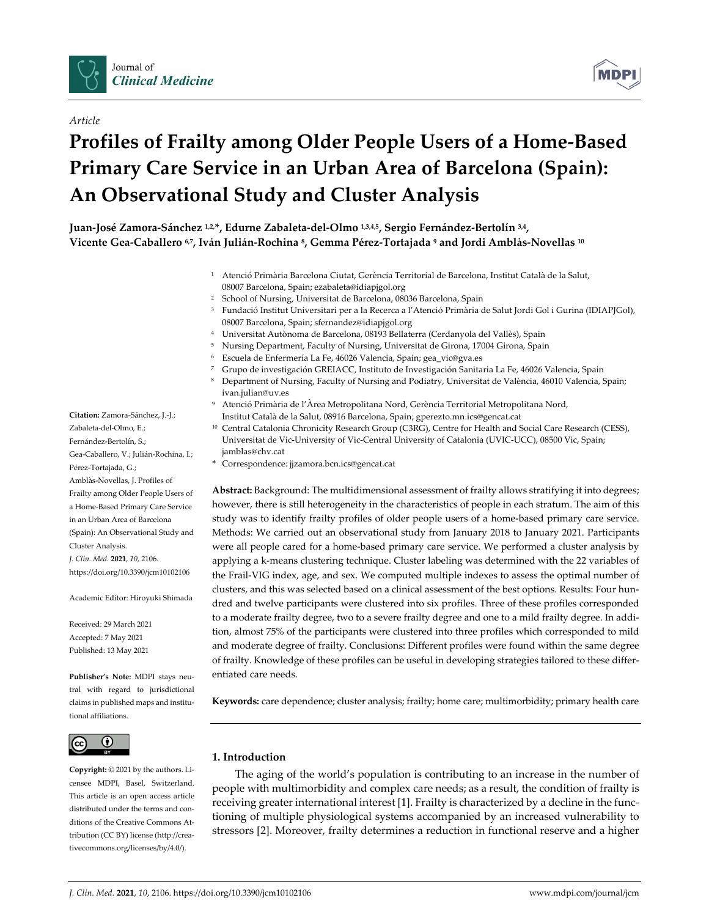



# **Profiles of Frailty among Older People Users of a Home‐Based Primary Care Service in an Urban Area of Barcelona (Spain): An Observational Study and Cluster Analysis**



Juan-José Zamora-Sánchez 1,2,\*, Edurne Zabaleta-del-Olmo 1,3,4,5, Sergio Fernández-Bertolín 3,4, Vicente Gea-Caballero 6.7, Iván Julián-Rochina 8, Gemma Pérez-Tortajada 9 and Jordi Amblàs-Novellas 10

- <sup>1</sup> Atenció Primària Barcelona Ciutat, Gerència Territorial de Barcelona, Institut Català de la Salut, 08007 Barcelona, Spain; ezabaleta@idiapjgol.org
- <sup>2</sup> School of Nursing, Universitat de Barcelona, 08036 Barcelona, Spain
- <sup>3</sup> Fundació Institut Universitari per a la Recerca a l'Atenció Primària de Salut Jordi Gol i Gurina (IDIAPJGol), 08007 Barcelona, Spain; sfernandez@idiapjgol.org
- <sup>4</sup> Universitat Autònoma de Barcelona, 08193 Bellaterra (Cerdanyola del Vallès), Spain
- <sup>5</sup> Nursing Department, Faculty of Nursing, Universitat de Girona, 17004 Girona, Spain
- <sup>6</sup> Escuela de Enfermería La Fe, 46026 Valencia, Spain; gea\_vic@gva.es
- <sup>7</sup> Grupo de investigación GREIACC, Instituto de Investigación Sanitaria La Fe, 46026 Valencia, Spain
- <sup>8</sup> Department of Nursing, Faculty of Nursing and Podiatry, Universitat de València, 46010 Valencia, Spain; ivan.julian@uv.es
- <sup>9</sup> Atenció Primària de l'Àrea Metropolitana Nord, Gerència Territorial Metropolitana Nord, Institut Català de la Salut, 08916 Barcelona, Spain; gperezto.mn.ics@gencat.cat
- <sup>10</sup> Central Catalonia Chronicity Research Group (C3RG), Centre for Health and Social Care Research (CESS), Universitat de Vic‐University of Vic‐Central University of Catalonia (UVIC‐UCC), 08500 Vic, Spain; jamblas@chv.cat
- **\*** Correspondence: jjzamora.bcn.ics@gencat.cat

**Abstract:** Background: The multidimensional assessment of frailty allows stratifying it into degrees; however, there is still heterogeneity in the characteristics of people in each stratum. The aim of this study was to identify frailty profiles of older people users of a home‐based primary care service. Methods: We carried out an observational study from January 2018 to January 2021. Participants were all people cared for a home-based primary care service. We performed a cluster analysis by applying a k-means clustering technique. Cluster labeling was determined with the 22 variables of the Frail‐VIG index, age, and sex. We computed multiple indexes to assess the optimal number of clusters, and this was selected based on a clinical assessment of the best options. Results: Four hun‐ dred and twelve participants were clustered into six profiles. Three of these profiles corresponded to a moderate frailty degree, two to a severe frailty degree and one to a mild frailty degree. In addi‐ tion, almost 75% of the participants were clustered into three profiles which corresponded to mild and moderate degree of frailty. Conclusions: Different profiles were found within the same degree of frailty. Knowledge of these profiles can be useful in developing strategies tailored to these differ‐ entiated care needs.

**Keywords:** care dependence; cluster analysis; frailty; home care; multimorbidity; primary health care

# **1. Introduction**

The aging of the world's population is contributing to an increase in the number of people with multimorbidity and complex care needs; as a result, the condition of frailty is receiving greater international interest [1]. Frailty is characterized by a decline in the functioning of multiple physiological systems accompanied by an increased vulnerability to stressors [2]. Moreover, frailty determines a reduction in functional reserve and a higher

**Citation:** Zamora‐Sánchez, J.‐J.; Zabaleta‐del‐Olmo, E.; Fernández‐Bertolín, S.; Gea‐Caballero, V.; Julián‐Rochina, I.; Pérez‐Tortajada, G.; Amblàs‐Novellas, J. Profiles of Frailty among Older People Users of a Home‐Based Primary Care Service in an Urban Area of Barcelona (Spain): An Observational Study and Cluster Analysis. *J. Clin. Med.* **2021**, *10*, 2106. https://doi.org/10.3390/jcm10102106

Academic Editor: Hiroyuki Shimada

Received: 29 March 2021 Accepted: 7 May 2021 Published: 13 May 2021

**Publisher's Note:** MDPI stays neu‐ tral with regard to jurisdictional claims in published maps and institu‐ tional affiliations.



**Copyright:** © 2021 by the authors. Li‐ censee MDPI, Basel, Switzerland. This article is an open access article distributed under the terms and conditions of the Creative Commons At‐ tribution (CC BY) license (http://crea‐ tivecommons.org/licenses/by/4.0/).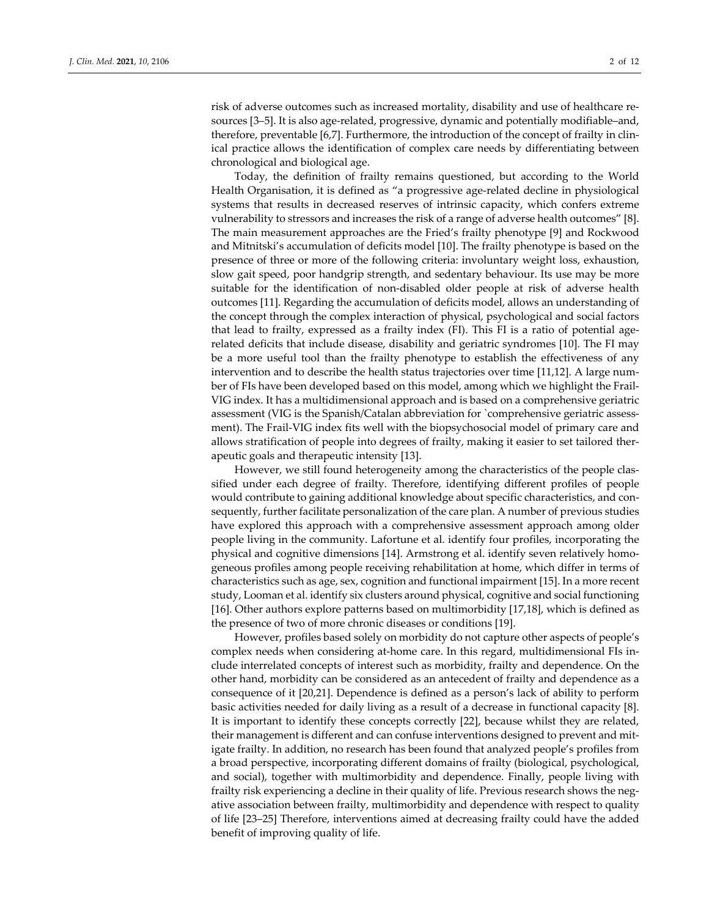risk of adverse outcomes such as increased mortality, disability and use of healthcare resources [3–5]. It is also age-related, progressive, dynamic and potentially modifiable–and, therefore, preventable [6,7]. Furthermore, the introduction of the concept of frailty in clin‐ ical practice allows the identification of complex care needs by differentiating between chronological and biological age.

Today, the definition of frailty remains questioned, but according to the World Health Organisation, it is defined as "a progressive age-related decline in physiological systems that results in decreased reserves of intrinsic capacity, which confers extreme vulnerability to stressors and increases the risk of a range of adverse health outcomes" [8]. The main measurement approaches are the Fried's frailty phenotype [9] and Rockwood and Mitnitski's accumulation of deficits model [10]. The frailty phenotype is based on the presence of three or more of the following criteria: involuntary weight loss, exhaustion, slow gait speed, poor handgrip strength, and sedentary behaviour. Its use may be more suitable for the identification of non-disabled older people at risk of adverse health outcomes [11]. Regarding the accumulation of deficits model, allows an understanding of the concept through the complex interaction of physical, psychological and social factors that lead to frailty, expressed as a frailty index (FI). This FI is a ratio of potential agerelated deficits that include disease, disability and geriatric syndromes [10]. The FI may be a more useful tool than the frailty phenotype to establish the effectiveness of any intervention and to describe the health status trajectories over time [11,12]. A large number of FIs have been developed based on this model, among which we highlight the Frail‐ VIG index. It has a multidimensional approach and is based on a comprehensive geriatric assessment (VIG is the Spanish/Catalan abbreviation for `comprehensive geriatric assessment). The Frail-VIG index fits well with the biopsychosocial model of primary care and allows stratification of people into degrees of frailty, making it easier to set tailored ther‐ apeutic goals and therapeutic intensity [13].

However, we still found heterogeneity among the characteristics of the people clas‐ sified under each degree of frailty. Therefore, identifying different profiles of people would contribute to gaining additional knowledge about specific characteristics, and consequently, further facilitate personalization of the care plan. A number of previous studies have explored this approach with a comprehensive assessment approach among older people living in the community. Lafortune et al. identify four profiles, incorporating the physical and cognitive dimensions [14]. Armstrong et al. identify seven relatively homogeneous profiles among people receiving rehabilitation at home, which differ in terms of characteristics such as age, sex, cognition and functional impairment [15]. In a more recent study, Looman et al. identify six clusters around physical, cognitive and social functioning [16]. Other authors explore patterns based on multimorbidity [17,18], which is defined as the presence of two of more chronic diseases or conditions [19].

However, profiles based solely on morbidity do not capture other aspects of people's complex needs when considering at-home care. In this regard, multidimensional FIs include interrelated concepts of interest such as morbidity, frailty and dependence. On the other hand, morbidity can be considered as an antecedent of frailty and dependence as a consequence of it [20,21]. Dependence is defined as a person's lack of ability to perform basic activities needed for daily living as a result of a decrease in functional capacity [8]. It is important to identify these concepts correctly [22], because whilst they are related, their management is different and can confuse interventions designed to prevent and mit‐ igate frailty. In addition, no research has been found that analyzed people's profiles from a broad perspective, incorporating different domains of frailty (biological, psychological, and social), together with multimorbidity and dependence. Finally, people living with frailty risk experiencing a decline in their quality of life. Previous research shows the negative association between frailty, multimorbidity and dependence with respect to quality of life [23–25] Therefore, interventions aimed at decreasing frailty could have the added benefit of improving quality of life.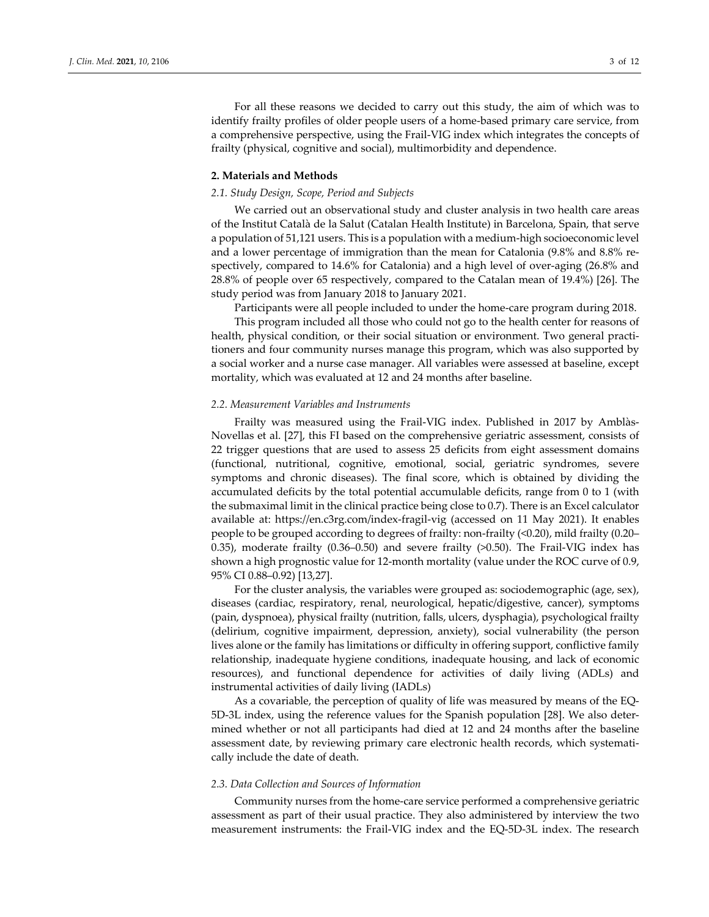For all these reasons we decided to carry out this study, the aim of which was to identify frailty profiles of older people users of a home-based primary care service, from a comprehensive perspective, using the Frail‐VIG index which integrates the concepts of frailty (physical, cognitive and social), multimorbidity and dependence.

#### **2. Materials and Methods**

### *2.1. Study Design, Scope, Period and Subjects*

We carried out an observational study and cluster analysis in two health care areas of the Institut Català de la Salut (Catalan Health Institute) in Barcelona, Spain, that serve a population of 51,121 users. This is a population with a medium‐high socioeconomic level and a lower percentage of immigration than the mean for Catalonia (9.8% and 8.8% respectively, compared to 14.6% for Catalonia) and a high level of over-aging (26.8% and 28.8% of people over 65 respectively, compared to the Catalan mean of 19.4%) [26]. The study period was from January 2018 to January 2021.

Participants were all people included to under the home‐care program during 2018.

This program included all those who could not go to the health center for reasons of health, physical condition, or their social situation or environment. Two general practitioners and four community nurses manage this program, which was also supported by a social worker and a nurse case manager. All variables were assessed at baseline, except mortality, which was evaluated at 12 and 24 months after baseline.

## *2.2. Measurement Variables and Instruments*

Frailty was measured using the Frail-VIG index. Published in 2017 by Amblàs-Novellas et al. [27], this FI based on the comprehensive geriatric assessment, consists of 22 trigger questions that are used to assess 25 deficits from eight assessment domains (functional, nutritional, cognitive, emotional, social, geriatric syndromes, severe symptoms and chronic diseases). The final score, which is obtained by dividing the accumulated deficits by the total potential accumulable deficits, range from 0 to 1 (with the submaximal limit in the clinical practice being close to 0.7). There is an Excel calculator available at: https://en.c3rg.com/index‐fragil‐vig (accessed on 11 May 2021). It enables people to be grouped according to degrees of frailty: non‐frailty (<0.20), mild frailty (0.20– 0.35), moderate frailty (0.36–0.50) and severe frailty (>0.50). The Frail-VIG index has shown a high prognostic value for 12‐month mortality (value under the ROC curve of 0.9, 95% CI 0.88–0.92) [13,27].

For the cluster analysis, the variables were grouped as: sociodemographic (age, sex), diseases (cardiac, respiratory, renal, neurological, hepatic/digestive, cancer), symptoms (pain, dyspnoea), physical frailty (nutrition, falls, ulcers, dysphagia), psychological frailty (delirium, cognitive impairment, depression, anxiety), social vulnerability (the person lives alone or the family has limitations or difficulty in offering support, conflictive family relationship, inadequate hygiene conditions, inadequate housing, and lack of economic resources), and functional dependence for activities of daily living (ADLs) and instrumental activities of daily living (IADLs)

As a covariable, the perception of quality of life was measured by means of the EQ‐ 5D-3L index, using the reference values for the Spanish population [28]. We also determined whether or not all participants had died at 12 and 24 months after the baseline assessment date, by reviewing primary care electronic health records, which systematically include the date of death.

#### *2.3. Data Collection and Sources of Information*

Community nurses from the home‐care service performed a comprehensive geriatric assessment as part of their usual practice. They also administered by interview the two measurement instruments: the Frail‐VIG index and the EQ‐5D‐3L index. The research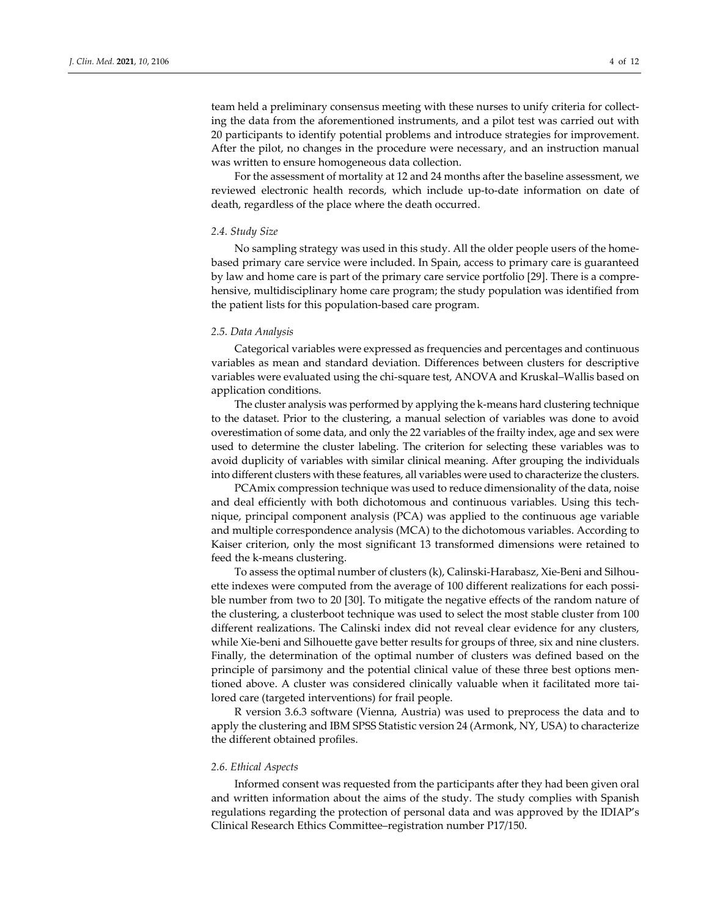team held a preliminary consensus meeting with these nurses to unify criteria for collecting the data from the aforementioned instruments, and a pilot test was carried out with 20 participants to identify potential problems and introduce strategies for improvement. After the pilot, no changes in the procedure were necessary, and an instruction manual was written to ensure homogeneous data collection.

For the assessment of mortality at 12 and 24 months after the baseline assessment, we reviewed electronic health records, which include up-to-date information on date of death, regardless of the place where the death occurred.

#### *2.4. Study Size*

No sampling strategy was used in this study. All the older people users of the home‐ based primary care service were included. In Spain, access to primary care is guaranteed by law and home care is part of the primary care service portfolio [29]. There is a compre‐ hensive, multidisciplinary home care program; the study population was identified from the patient lists for this population‐based care program.

#### *2.5. Data Analysis*

Categorical variables were expressed as frequencies and percentages and continuous variables as mean and standard deviation. Differences between clusters for descriptive variables were evaluated using the chi‐square test, ANOVA and Kruskal–Wallis based on application conditions.

The cluster analysis was performed by applying the k‐means hard clustering technique to the dataset. Prior to the clustering, a manual selection of variables was done to avoid overestimation of some data, and only the 22 variables of the frailty index, age and sex were used to determine the cluster labeling. The criterion for selecting these variables was to avoid duplicity of variables with similar clinical meaning. After grouping the individuals into different clusters with these features, all variables were used to characterize the clusters.

PCAmix compression technique was used to reduce dimensionality of the data, noise and deal efficiently with both dichotomous and continuous variables. Using this tech‐ nique, principal component analysis (PCA) was applied to the continuous age variable and multiple correspondence analysis (MCA) to the dichotomous variables. According to Kaiser criterion, only the most significant 13 transformed dimensions were retained to feed the k-means clustering.

To assess the optimal number of clusters (k), Calinski‐Harabasz, Xie‐Beni and Silhou‐ ette indexes were computed from the average of 100 different realizations for each possible number from two to 20 [30]. To mitigate the negative effects of the random nature of the clustering, a clusterboot technique was used to select the most stable cluster from 100 different realizations. The Calinski index did not reveal clear evidence for any clusters, while Xie-beni and Silhouette gave better results for groups of three, six and nine clusters. Finally, the determination of the optimal number of clusters was defined based on the principle of parsimony and the potential clinical value of these three best options mentioned above. A cluster was considered clinically valuable when it facilitated more tai‐ lored care (targeted interventions) for frail people.

R version 3.6.3 software (Vienna, Austria) was used to preprocess the data and to apply the clustering and IBM SPSS Statistic version 24 (Armonk, NY, USA) to characterize the different obtained profiles.

#### *2.6. Ethical Aspects*

Informed consent was requested from the participants after they had been given oral and written information about the aims of the study. The study complies with Spanish regulations regarding the protection of personal data and was approved by the IDIAP's Clinical Research Ethics Committee–registration number P17/150.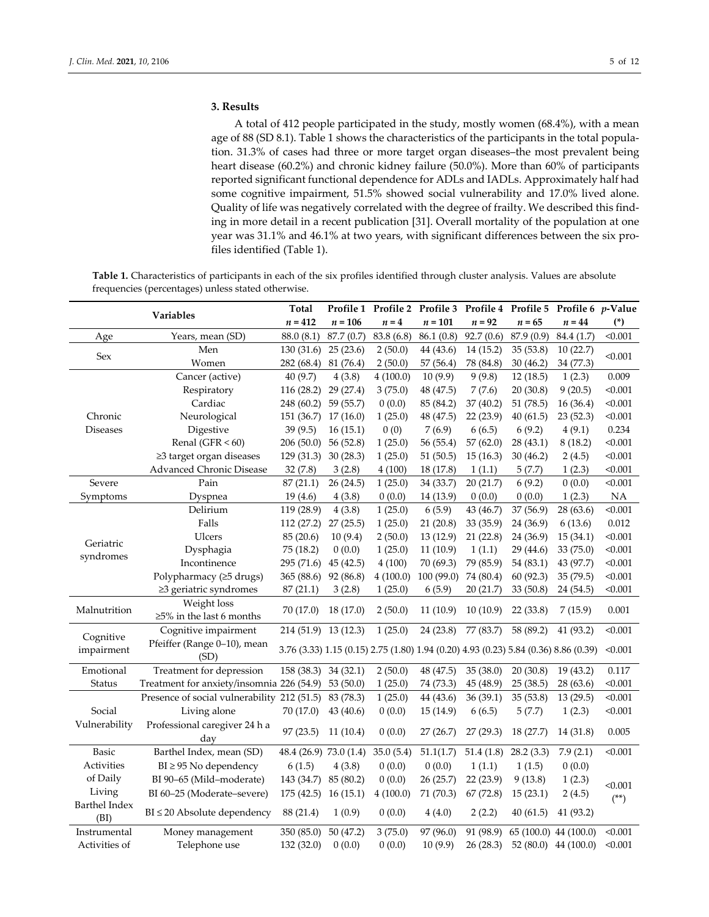# **3. Results**

A total of 412 people participated in the study, mostly women (68.4%), with a mean age of 88 (SD 8.1). Table 1 shows the characteristics of the participants in the total population. 31.3% of cases had three or more target organ diseases–the most prevalent being heart disease (60.2%) and chronic kidney failure (50.0%). More than 60% of participants reported significant functional dependence for ADLs and IADLs. Approximately half had some cognitive impairment, 51.5% showed social vulnerability and 17.0% lived alone. Quality of life was negatively correlated with the degree of frailty. We described this find‐ ing in more detail in a recent publication [31]. Overall mortality of the population at one year was 31.1% and 46.1% at two years, with significant differences between the six pro‐ files identified (Table 1).

**Table 1.** Characteristics of participants in each of the six profiles identified through cluster analysis. Values are absolute frequencies (percentages) unless stated otherwise.

| Variables                            |                                             | Total                                                                               |           |            |            |           |            | Profile 1 Profile 2 Profile 3 Profile 4 Profile 5 Profile 6 p-Value |             |
|--------------------------------------|---------------------------------------------|-------------------------------------------------------------------------------------|-----------|------------|------------|-----------|------------|---------------------------------------------------------------------|-------------|
|                                      |                                             | $n=412$                                                                             | $n = 106$ | $n = 4$    | $n = 101$  | $n = 92$  | $n = 65$   | $n = 44$                                                            | $(*)$       |
| Age                                  | Years, mean (SD)                            | 88.0 (8.1)                                                                          | 87.7(0.7) | 83.8 (6.8) | 86.1(0.8)  | 92.7(0.6) | 87.9 (0.9) | 84.4 (1.7)                                                          | < 0.001     |
| Sex                                  | Men                                         | 130(31.6)                                                                           | 25(23.6)  | 2(50.0)    | 44 (43.6)  | 14(15.2)  | 35(53.8)   | 10(22.7)                                                            | < 0.001     |
|                                      | Women                                       | 282 (68.4)                                                                          | 81 (76.4) | 2(50.0)    | 57 (56.4)  | 78 (84.8) | 30(46.2)   | 34 (77.3)                                                           |             |
|                                      | Cancer (active)                             | 40 (9.7)                                                                            | 4(3.8)    | 4(100.0)   | 10(9.9)    | 9(9.8)    | 12(18.5)   | 1(2.3)                                                              | 0.009       |
|                                      | Respiratory                                 | 116 (28.2)                                                                          | 29(27.4)  | 3(75.0)    | 48 (47.5)  | 7(7.6)    | 20(30.8)   | 9(20.5)                                                             | < 0.001     |
|                                      | Cardiac                                     | 248 (60.2)                                                                          | 59 (55.7) | 0(0.0)     | 85 (84.2)  | 37 (40.2) | 51 (78.5)  | 16(36.4)                                                            | < 0.001     |
| Chronic                              | Neurological                                | 151 (36.7)                                                                          | 17(16.0)  | 1(25.0)    | 48 (47.5)  | 22(23.9)  | 40(61.5)   | 23(52.3)                                                            | < 0.001     |
| <b>Diseases</b>                      | Digestive                                   | 39(9.5)                                                                             | 16(15.1)  | 0(0)       | 7(6.9)     | 6(6.5)    | 6(9.2)     | 4(9.1)                                                              | 0.234       |
|                                      | Renal (GFR $< 60$ )                         | 206(50.0)                                                                           | 56(52.8)  | 1(25.0)    | 56 (55.4)  | 57(62.0)  | 28(43.1)   | 8(18.2)                                                             | < 0.001     |
|                                      | ≥3 target organ diseases                    | 129(31.3)                                                                           | 30(28.3)  | 1(25.0)    | 51(50.5)   | 15(16.3)  | 30(46.2)   | 2(4.5)                                                              | < 0.001     |
|                                      | Advanced Chronic Disease                    | 32(7.8)                                                                             | 3(2.8)    | 4(100)     | 18 (17.8)  | 1(1.1)    | 5(7.7)     | 1(2.3)                                                              | < 0.001     |
| Severe                               | Pain                                        | 87(21.1)                                                                            | 26(24.5)  | 1(25.0)    | 34 (33.7)  | 20(21.7)  | 6(9.2)     | 0(0.0)                                                              | < 0.001     |
| Symptoms                             | Dyspnea                                     | 19(4.6)                                                                             | 4(3.8)    | 0(0.0)     | 14 (13.9)  | 0(0.0)    | 0(0.0)     | 1(2.3)                                                              | $_{\rm NA}$ |
|                                      | Delirium                                    | 119 (28.9)                                                                          | 4(3.8)    | 1(25.0)    | 6(5.9)     | 43 (46.7) | 37 (56.9)  | 28(63.6)                                                            | < 0.001     |
|                                      | Falls                                       | 112 (27.2)                                                                          | 27(25.5)  | 1(25.0)    | 21(20.8)   | 33(35.9)  | 24 (36.9)  | 6(13.6)                                                             | 0.012       |
|                                      | Ulcers                                      | 85 (20.6)                                                                           | 10(9.4)   | 2(50.0)    | 13(12.9)   | 21(22.8)  | 24 (36.9)  | 15(34.1)                                                            | < 0.001     |
| Geriatric                            | Dysphagia                                   | 75 (18.2)                                                                           | 0(0.0)    | 1(25.0)    | 11(10.9)   | 1(1.1)    | 29(44.6)   | 33 (75.0)                                                           | < 0.001     |
| syndromes                            | Incontinence                                | 295 (71.6)                                                                          | 45(42.5)  | 4(100)     | 70 (69.3)  | 79 (85.9) | 54(83.1)   | 43 (97.7)                                                           | < 0.001     |
|                                      | Polypharmacy (≥5 drugs)                     | 365 (88.6)                                                                          | 92 (86.8) | 4(100.0)   | 100 (99.0) | 74 (80.4) | 60 (92.3)  | 35 (79.5)                                                           | < 0.001     |
|                                      | ≥3 geriatric syndromes                      | 87(21.1)                                                                            | 3(2.8)    | 1(25.0)    | 6(5.9)     | 20(21.7)  | 33(50.8)   | 24 (54.5)                                                           | < 0.001     |
|                                      | Weight loss                                 |                                                                                     |           |            |            |           |            |                                                                     |             |
| Malnutrition                         | $\geq$ 5% in the last 6 months              | 70 (17.0)                                                                           | 18 (17.0) | 2(50.0)    | 11(10.9)   | 10(10.9)  | 22(33.8)   | 7(15.9)                                                             | 0.001       |
| Cognitive                            | Cognitive impairment                        | 214 (51.9) 13 (12.3)                                                                |           | 1(25.0)    | 24 (23.8)  | 77 (83.7) | 58 (89.2)  | 41 (93.2)                                                           | < 0.001     |
| impairment                           | Pfeiffer (Range 0-10), mean<br>(SD)         | 3.76 (3.33) 1.15 (0.15) 2.75 (1.80) 1.94 (0.20) 4.93 (0.23) 5.84 (0.36) 8.86 (0.39) |           |            |            |           |            | < 0.001                                                             |             |
| Emotional                            | Treatment for depression                    | 158 (38.3)                                                                          | 34(32.1)  | 2(50.0)    | 48 (47.5)  | 35 (38.0) | 20(30.8)   | 19(43.2)                                                            | 0.117       |
| Status                               | Treatment for anxiety/insomnia 226 (54.9)   |                                                                                     | 53(50.0)  | 1(25.0)    | 74 (73.3)  | 45 (48.9) | 25(38.5)   | 28(63.6)                                                            | < 0.001     |
|                                      | Presence of social vulnerability 212 (51.5) |                                                                                     | 83 (78.3) | 1(25.0)    | 44 (43.6)  | 36(39.1)  | 35(53.8)   | 13(29.5)                                                            | < 0.001     |
| Social                               | Living alone                                | 70 (17.0)                                                                           | 43(40.6)  | 0(0.0)     | 15(14.9)   | 6(6.5)    | 5(7.7)     | 1(2.3)                                                              | < 0.001     |
| Vulnerability                        | Professional caregiver 24 h a               |                                                                                     |           | 0(0.0)     | 27(26.7)   | 27 (29.3) | 18(27.7)   |                                                                     |             |
|                                      | day                                         | 97 (23.5)                                                                           | 11(10.4)  |            |            |           |            | 14 (31.8)                                                           | 0.005       |
| Basic                                | Barthel Index, mean (SD)                    | 48.4 (26.9) 73.0 (1.4)                                                              |           | 35.0(5.4)  | 51.1(1.7)  | 51.4(1.8) | 28.2(3.3)  | 7.9(2.1)                                                            | < 0.001     |
| Activities                           | $BI \geq 95$ No dependency                  | 6(1.5)                                                                              | 4(3.8)    | 0(0.0)     | 0(0.0)     | 1(1.1)    | 1(1.5)     | 0(0.0)                                                              |             |
| of Daily                             | BI 90-65 (Mild-moderate)                    | 143 (34.7) 85 (80.2)                                                                |           | 0(0.0)     | 26(25.7)   | 22(23.9)  | 9(13.8)    | 1(2.3)                                                              | < 0.001     |
| Living<br>BI 60-25 (Moderate-severe) |                                             | $175(42.5)$ 16 (15.1)                                                               |           | 4(100.0)   | 71 (70.3)  | 67 (72.8) | 15(23.1)   | 2(4.5)                                                              | $(**)$      |
| <b>Barthel Index</b>                 | $BI \leq 20$ Absolute dependency            | 88 (21.4)                                                                           | 1(0.9)    | 0(0.0)     |            | 2(2.2)    |            |                                                                     |             |
| (BI)                                 |                                             |                                                                                     |           |            | 4(4.0)     |           | 40(61.5)   | 41 (93.2)                                                           |             |
| Instrumental                         | Money management                            | 350 (85.0)                                                                          | 50(47.2)  | 3(75.0)    | 97 (96.0)  | 91 (98.9) |            | 65 (100.0) 44 (100.0)                                               | < 0.001     |
| Activities of                        | Telephone use                               | 132 (32.0)                                                                          | 0(0.0)    | 0(0.0)     | 10(9.9)    | 26 (28.3) |            | $52(80.0)$ 44 (100.0)                                               | < 0.001     |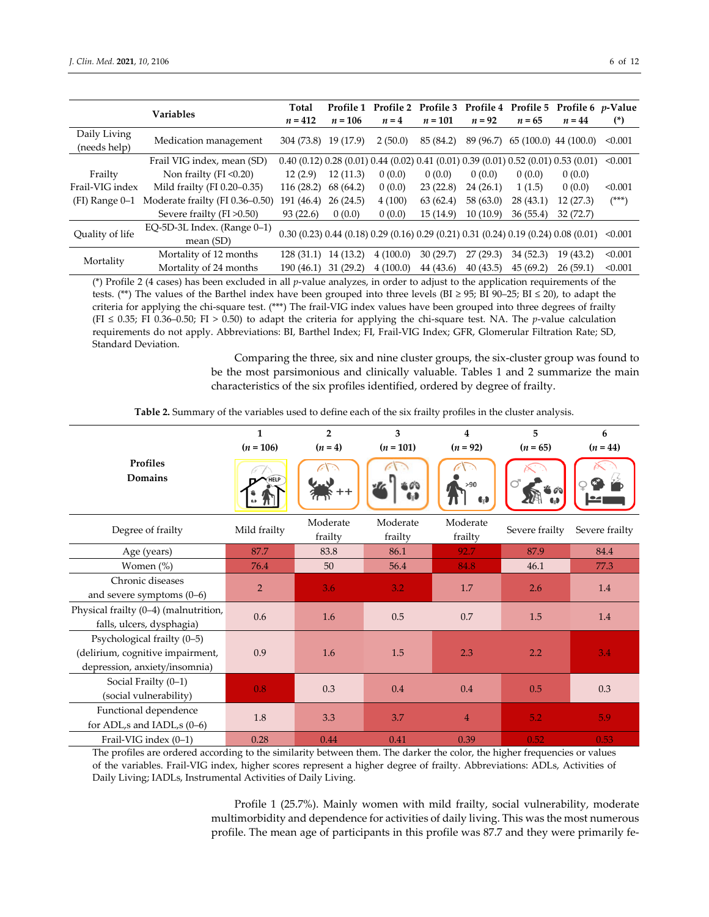| <b>Variables</b>             |                                            | Total      |           | Profile 1 Profile 2 Profile 3 Profile 4 Profile 5 Profile 6 p-Value                               |           |           |          |                        |         |
|------------------------------|--------------------------------------------|------------|-----------|---------------------------------------------------------------------------------------------------|-----------|-----------|----------|------------------------|---------|
|                              |                                            | $n = 412$  | $n = 106$ | $n=4$                                                                                             | $n = 101$ | $n = 92$  | $n = 65$ | $n = 44$               | $(*)$   |
| Daily Living<br>(needs help) | Medication management                      | 304 (73.8) | 19 (17.9) | 2(50.0)                                                                                           | 85 (84.2) | 89 (96.7) |          | $65(100.0)$ 44 (100.0) | < 0.001 |
|                              | Frail VIG index, mean (SD)                 |            |           | $0.40$ (0.12) $0.28$ (0.01) $0.44$ (0.02) $0.41$ (0.01) $0.39$ (0.01) $0.52$ (0.01) $0.53$ (0.01) |           |           |          |                        | < 0.001 |
| Frailty                      | Non frailty ( $FI < 0.20$ )                | 12(2.9)    | 12(11.3)  | 0(0.0)                                                                                            | 0(0.0)    | 0(0.0)    | 0(0.0)   | 0(0.0)                 |         |
| Frail-VIG index              | Mild frailty (FI 0.20-0.35)                | 116(28.2)  | 68 (64.2) | 0(0.0)                                                                                            | 23(22.8)  | 24(26.1)  | 1(1.5)   | 0(0.0)                 | < 0.001 |
| $(FI)$ Range $0-1$           | Moderate frailty (FI 0.36-0.50)            | 191 (46.4) | 26(24.5)  | 4(100)                                                                                            | 63(62.4)  | 58 (63.0) | 28(43.1) | 12(27.3)               | $(***)$ |
|                              | Severe frailty $(FI > 0.50)$               | 93(22.6)   | 0(0.0)    | 0(0.0)                                                                                            | 15(14.9)  | 10(10.9)  | 36(55.4) | 32 (72.7)              |         |
| Quality of life              | EQ-5D-3L Index. (Range 0-1)<br>mean $(SD)$ |            |           | 0.30 (0.23) 0.44 (0.18) 0.29 (0.16) 0.29 (0.21) 0.31 (0.24) 0.19 (0.24) 0.08 (0.01)               |           |           |          |                        | < 0.001 |
| Mortality                    | Mortality of 12 months                     | 128(31.1)  | 14(13.2)  | 4(100.0)                                                                                          | 30(29.7)  | 27(29.3)  | 34(52.3) | 19 (43.2)              | < 0.001 |
|                              | Mortality of 24 months                     | 190(46.1)  | 31(29.2)  | 4(100.0)                                                                                          | 44 (43.6) | 40(43.5)  | 45(69.2) | 26(59.1)               | < 0.001 |
|                              |                                            |            |           |                                                                                                   |           |           |          |                        |         |

(\*) Profile 2 (4 cases) has been excluded in all *p*‐value analyzes, in order to adjust to the application requirements of the tests. (\*\*) The values of the Barthel index have been grouped into three levels (BI ≥ 95; BI 90–25; BI ≤ 20), to adapt the criteria for applying the chi-square test. (\*\*\*) The frail-VIG index values have been grouped into three degrees of frailty (FI ≤ 0.35; FI 0.36–0.50; FI > 0.50) to adapt the criteria for applying the chi-square test. NA. The *p*-value calculation requirements do not apply. Abbreviations: BI, Barthel Index; FI, Frail‐VIG Index; GFR, Glomerular Filtration Rate; SD, Standard Deviation.

> Comparing the three, six and nine cluster groups, the six‐cluster group was found to be the most parsimonious and clinically valuable. Tables 1 and 2 summarize the main characteristics of the six profiles identified, ordered by degree of frailty.

**Table 2.** Summary of the variables used to define each of the six frailty profiles in the cluster analysis.

|                                                                                                  | $\mathbf{1}$   | $\overline{2}$      | 3                   | $\overline{\mathbf{4}}$ | 5              | 6              |
|--------------------------------------------------------------------------------------------------|----------------|---------------------|---------------------|-------------------------|----------------|----------------|
|                                                                                                  | $(n = 106)$    | $(n = 4)$           | $(n = 101)$         | $(n = 92)$              | $(n = 65)$     | $(n = 44)$     |
| Profiles<br>Domains                                                                              | HELP           |                     |                     | >90<br>69               |                |                |
| Degree of frailty                                                                                | Mild frailty   | Moderate<br>frailty | Moderate<br>frailty | Moderate<br>frailty     | Severe frailty | Severe frailty |
| Age (years)                                                                                      | 87.7           | 83.8                | 86.1                | 92.7                    | 87.9           | 84.4           |
| Women $(\%)$                                                                                     | 76.4           | 50                  | 56.4                | 84.8                    | 46.1           | 77.3           |
| Chronic diseases<br>and severe symptoms $(0-6)$                                                  | $\overline{2}$ | 3.6                 | 3.2                 | 1.7                     | 2.6            | 1.4            |
| Physical frailty (0-4) (malnutrition,<br>falls, ulcers, dysphagia)                               | 0.6            | 1.6                 | 0.5                 | 0.7                     | 1.5            | 1.4            |
| Psychological frailty (0-5)<br>(delirium, cognitive impairment,<br>depression, anxiety/insomnia) | 0.9            | 1.6                 | 1.5                 | 2.3                     | 2.2            | 3.4            |
| Social Frailty (0-1)<br>(social vulnerability)                                                   | 0.8            | 0.3                 | 0.4                 | 0.4                     | 0.5            | 0.3            |
| Functional dependence<br>for ADL,s and IADL,s (0-6)                                              | 1.8            | 3.3                 | 3.7                 | $\overline{4}$          | 5.2            | 5.9            |
| Frail-VIG index (0-1)                                                                            | 0.28           | 0.44                | 0.41                | 0.39                    | 0.52           | 0.53           |

The profiles are ordered according to the similarity between them. The darker the color, the higher frequencies or values of the variables. Frail‐VIG index, higher scores represent a higher degree of frailty. Abbreviations: ADLs, Activities of Daily Living; IADLs, Instrumental Activities of Daily Living.

> Profile 1 (25.7%). Mainly women with mild frailty, social vulnerability, moderate multimorbidity and dependence for activities of daily living. This was the most numerous profile. The mean age of participants in this profile was 87.7 and they were primarily fe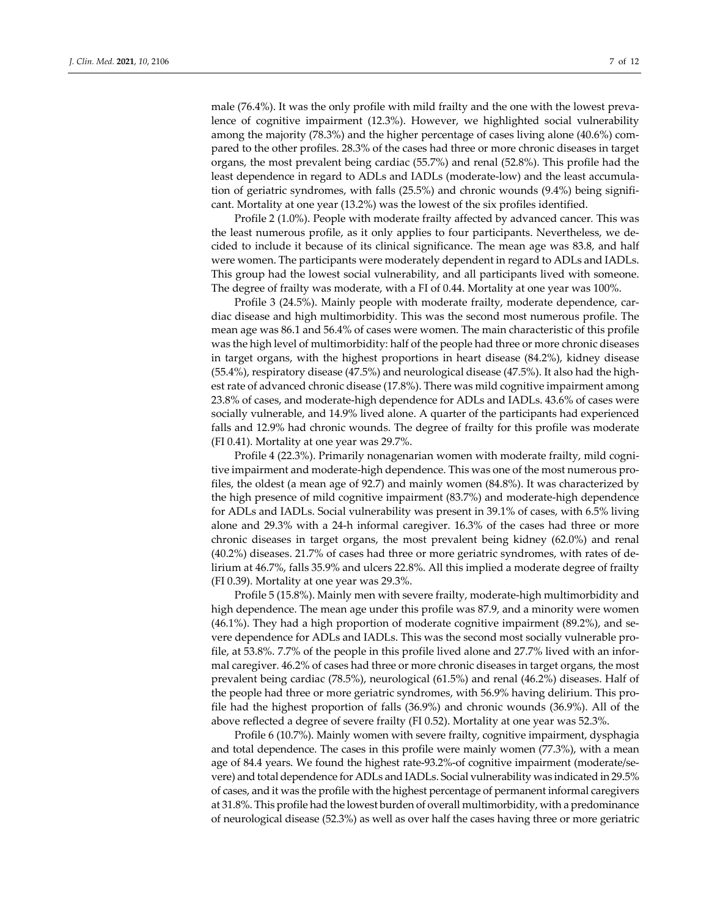male (76.4%). It was the only profile with mild frailty and the one with the lowest prevalence of cognitive impairment (12.3%). However, we highlighted social vulnerability among the majority (78.3%) and the higher percentage of cases living alone (40.6%) com‐ pared to the other profiles. 28.3% of the cases had three or more chronic diseases in target organs, the most prevalent being cardiac (55.7%) and renal (52.8%). This profile had the least dependence in regard to ADLs and IADLs (moderate‐low) and the least accumula‐ tion of geriatric syndromes, with falls (25.5%) and chronic wounds (9.4%) being significant. Mortality at one year (13.2%) was the lowest of the six profiles identified.

Profile 2 (1.0%). People with moderate frailty affected by advanced cancer*.* This was the least numerous profile, as it only applies to four participants. Nevertheless, we de‐ cided to include it because of its clinical significance. The mean age was 83.8, and half were women. The participants were moderately dependent in regard to ADLs and IADLs. This group had the lowest social vulnerability, and all participants lived with someone. The degree of frailty was moderate, with a FI of 0.44. Mortality at one year was 100%.

Profile 3 (24.5%). Mainly people with moderate frailty, moderate dependence, cardiac disease and high multimorbidity*.* This was the second most numerous profile. The mean age was 86.1 and 56.4% of cases were women. The main characteristic of this profile was the high level of multimorbidity: half of the people had three or more chronic diseases in target organs, with the highest proportions in heart disease (84.2%), kidney disease (55.4%), respiratory disease (47.5%) and neurological disease (47.5%). It also had the high‐ est rate of advanced chronic disease (17.8%). There was mild cognitive impairment among 23.8% of cases, and moderate‐high dependence for ADLs and IADLs. 43.6% of cases were socially vulnerable, and 14.9% lived alone. A quarter of the participants had experienced falls and 12.9% had chronic wounds. The degree of frailty for this profile was moderate (FI 0.41). Mortality at one year was 29.7%.

Profile 4 (22.3%). Primarily nonagenarian women with moderate frailty, mild cogni‐ tive impairment and moderate‐high dependence. This was one of the most numerous pro‐ files, the oldest (a mean age of 92.7) and mainly women (84.8%). It was characterized by the high presence of mild cognitive impairment (83.7%) and moderate‐high dependence for ADLs and IADLs. Social vulnerability was present in 39.1% of cases, with 6.5% living alone and 29.3% with a 24‐h informal caregiver. 16.3% of the cases had three or more chronic diseases in target organs, the most prevalent being kidney (62.0%) and renal (40.2%) diseases. 21.7% of cases had three or more geriatric syndromes, with rates of de‐ lirium at 46.7%, falls 35.9% and ulcers 22.8%. All this implied a moderate degree of frailty (FI 0.39). Mortality at one year was 29.3%.

Profile 5 (15.8%). Mainly men with severe frailty, moderate‐high multimorbidity and high dependence. The mean age under this profile was 87.9, and a minority were women (46.1%). They had a high proportion of moderate cognitive impairment (89.2%), and se‐ vere dependence for ADLs and IADLs. This was the second most socially vulnerable pro‐ file, at 53.8%. 7.7% of the people in this profile lived alone and 27.7% lived with an informal caregiver. 46.2% of cases had three or more chronic diseases in target organs, the most prevalent being cardiac (78.5%), neurological (61.5%) and renal (46.2%) diseases. Half of the people had three or more geriatric syndromes, with 56.9% having delirium. This pro‐ file had the highest proportion of falls (36.9%) and chronic wounds (36.9%). All of the above reflected a degree of severe frailty (FI 0.52). Mortality at one year was 52.3%.

Profile 6 (10.7%). Mainly women with severe frailty, cognitive impairment, dysphagia and total dependence. The cases in this profile were mainly women (77.3%), with a mean age of 84.4 years. We found the highest rate‐93.2%‐of cognitive impairment (moderate/se‐ vere) and total dependence for ADLs and IADLs. Social vulnerability was indicated in 29.5% of cases, and it was the profile with the highest percentage of permanent informal caregivers at 31.8%. This profile had the lowest burden of overall multimorbidity, with a predominance of neurological disease (52.3%) as well as over half the cases having three or more geriatric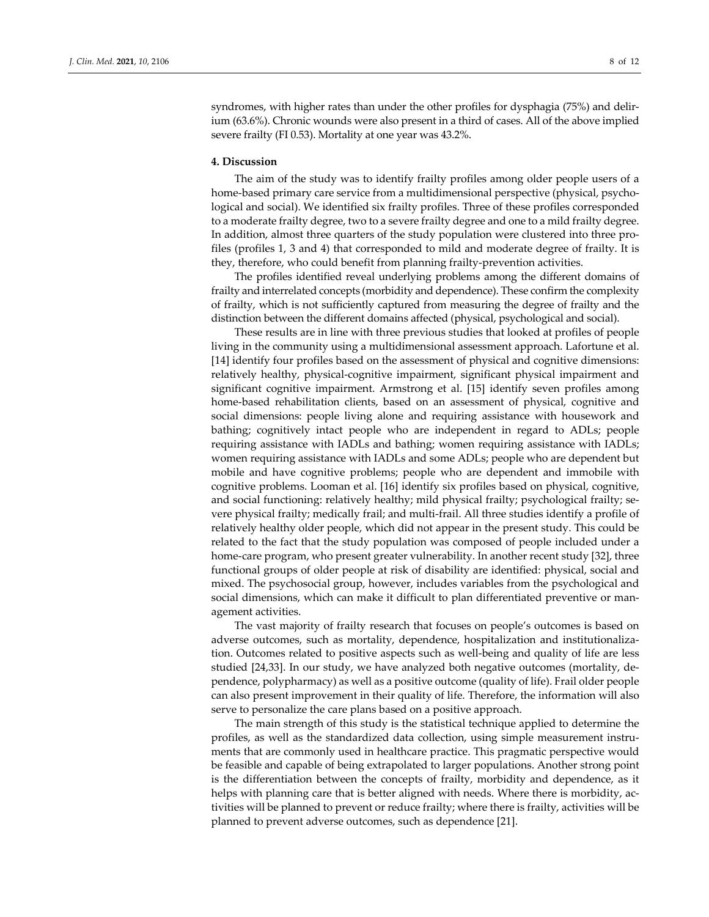syndromes, with higher rates than under the other profiles for dysphagia (75%) and delirium (63.6%). Chronic wounds were also present in a third of cases. All of the above implied severe frailty (FI 0.53). Mortality at one year was 43.2%.

#### **4. Discussion**

The aim of the study was to identify frailty profiles among older people users of a home-based primary care service from a multidimensional perspective (physical, psychological and social). We identified six frailty profiles. Three of these profiles corresponded to a moderate frailty degree, two to a severe frailty degree and one to a mild frailty degree. In addition, almost three quarters of the study population were clustered into three pro‐ files (profiles 1, 3 and 4) that corresponded to mild and moderate degree of frailty. It is they, therefore, who could benefit from planning frailty‐prevention activities.

The profiles identified reveal underlying problems among the different domains of frailty and interrelated concepts (morbidity and dependence). These confirm the complexity of frailty, which is not sufficiently captured from measuring the degree of frailty and the distinction between the different domains affected (physical, psychological and social).

These results are in line with three previous studies that looked at profiles of people living in the community using a multidimensional assessment approach. Lafortune et al. [14] identify four profiles based on the assessment of physical and cognitive dimensions: relatively healthy, physical‐cognitive impairment, significant physical impairment and significant cognitive impairment. Armstrong et al. [15] identify seven profiles among home-based rehabilitation clients, based on an assessment of physical, cognitive and social dimensions: people living alone and requiring assistance with housework and bathing; cognitively intact people who are independent in regard to ADLs; people requiring assistance with IADLs and bathing; women requiring assistance with IADLs; women requiring assistance with IADLs and some ADLs; people who are dependent but mobile and have cognitive problems; people who are dependent and immobile with cognitive problems. Looman et al. [16] identify six profiles based on physical, cognitive, and social functioning: relatively healthy; mild physical frailty; psychological frailty; severe physical frailty; medically frail; and multi-frail. All three studies identify a profile of relatively healthy older people, which did not appear in the present study. This could be related to the fact that the study population was composed of people included under a home-care program, who present greater vulnerability. In another recent study [32], three functional groups of older people at risk of disability are identified: physical, social and mixed. The psychosocial group, however, includes variables from the psychological and social dimensions, which can make it difficult to plan differentiated preventive or management activities.

The vast majority of frailty research that focuses on people's outcomes is based on adverse outcomes, such as mortality, dependence, hospitalization and institutionaliza‐ tion. Outcomes related to positive aspects such as well‐being and quality of life are less studied [24,33]. In our study, we have analyzed both negative outcomes (mortality, de‐ pendence, polypharmacy) as well as a positive outcome (quality of life). Frail older people can also present improvement in their quality of life. Therefore, the information will also serve to personalize the care plans based on a positive approach.

The main strength of this study is the statistical technique applied to determine the profiles, as well as the standardized data collection, using simple measurement instruments that are commonly used in healthcare practice. This pragmatic perspective would be feasible and capable of being extrapolated to larger populations. Another strong point is the differentiation between the concepts of frailty, morbidity and dependence, as it helps with planning care that is better aligned with needs. Where there is morbidity, activities will be planned to prevent or reduce frailty; where there is frailty, activities will be planned to prevent adverse outcomes, such as dependence [21].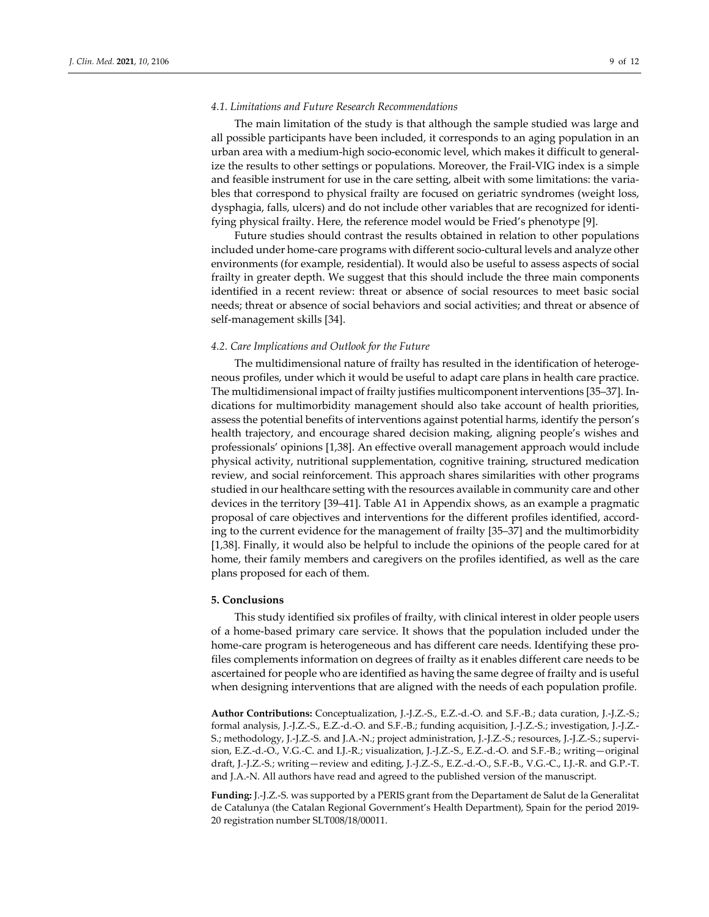## *4.1. Limitations and Future Research Recommendations*

The main limitation of the study is that although the sample studied was large and all possible participants have been included, it corresponds to an aging population in an urban area with a medium‐high socio‐economic level, which makes it difficult to general‐ ize the results to other settings or populations. Moreover, the Frail‐VIG index is a simple and feasible instrument for use in the care setting, albeit with some limitations: the varia‐ bles that correspond to physical frailty are focused on geriatric syndromes (weight loss, dysphagia, falls, ulcers) and do not include other variables that are recognized for identi‐ fying physical frailty. Here, the reference model would be Fried's phenotype [9].

Future studies should contrast the results obtained in relation to other populations included under home‐care programs with different socio‐cultural levels and analyze other environments (for example, residential). It would also be useful to assess aspects of social frailty in greater depth. We suggest that this should include the three main components identified in a recent review: threat or absence of social resources to meet basic social needs; threat or absence of social behaviors and social activities; and threat or absence of self‐management skills [34].

#### *4.2. Care Implications and Outlook for the Future*

The multidimensional nature of frailty has resulted in the identification of heterogeneous profiles, under which it would be useful to adapt care plans in health care practice. The multidimensional impact of frailty justifies multicomponent interventions [35–37]. In‐ dications for multimorbidity management should also take account of health priorities, assess the potential benefits of interventions against potential harms, identify the person's health trajectory, and encourage shared decision making, aligning people's wishes and professionals' opinions [1,38]. An effective overall management approach would include physical activity, nutritional supplementation, cognitive training, structured medication review, and social reinforcement. This approach shares similarities with other programs studied in our healthcare setting with the resources available in community care and other devices in the territory [39–41]. Table A1 in Appendix shows, as an example a pragmatic proposal of care objectives and interventions for the different profiles identified, accord‐ ing to the current evidence for the management of frailty [35–37] and the multimorbidity [1,38]. Finally, it would also be helpful to include the opinions of the people cared for at home, their family members and caregivers on the profiles identified, as well as the care plans proposed for each of them.

## **5. Conclusions**

This study identified six profiles of frailty, with clinical interest in older people users of a home‐based primary care service. It shows that the population included under the home-care program is heterogeneous and has different care needs. Identifying these profiles complements information on degrees of frailty as it enables different care needs to be ascertained for people who are identified as having the same degree of frailty and is useful when designing interventions that are aligned with the needs of each population profile.

**Author Contributions:** Conceptualization, J.‐J.Z.‐S., E.Z.‐d.‐O. and S.F.‐B.; data curation, J.‐J.Z.‐S.; formal analysis, J.‐J.Z.‐S., E.Z.‐d.‐O. and S.F.‐B.; funding acquisition, J.‐J.Z.‐S.; investigation, J.‐J.Z.‐ S.; methodology, J.-J.Z.-S. and J.A.-N.; project administration, J.-J.Z.-S.; resources, J.-J.Z.-S.; supervision, E.Z.‐d.‐O., V.G.‐C. and I.J.‐R.; visualization, J.‐J.Z.‐S., E.Z.‐d.‐O. and S.F.‐B.; writing—original draft, J.‐J.Z.‐S.; writing—review and editing, J.‐J.Z.‐S., E.Z.‐d.‐O., S.F.‐B., V.G.‐C., I.J.‐R. and G.P.‐T. and J.A.‐N. All authors have read and agreed to the published version of the manuscript.

**Funding:** J.‐J.Z.‐S. was supported by a PERIS grant from the Departament de Salut de la Generalitat de Catalunya (the Catalan Regional Government's Health Department), Spain for the period 2019‐ 20 registration number SLT008/18/00011.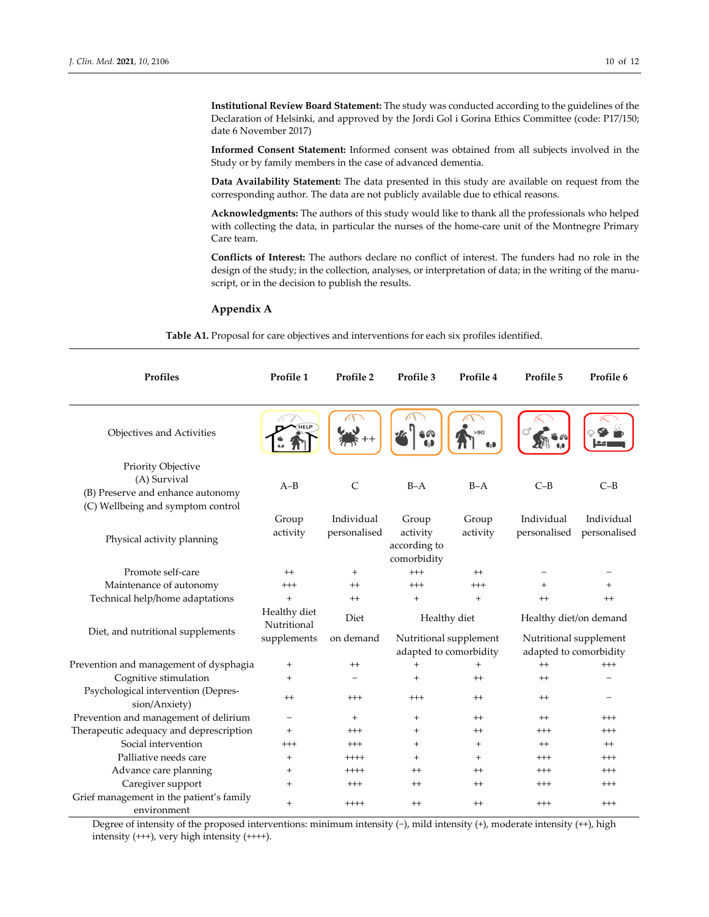**Institutional Review Board Statement:** The study was conducted according to the guidelines of the Declaration of Helsinki, and approved by the Jordi Gol i Gorina Ethics Committee (code: P17/150; date 6 November 2017)

**Informed Consent Statement:** Informed consent was obtained from all subjects involved in the Study or by family members in the case of advanced dementia.

**Data Availability Statement:** The data presented in this study are available on request from the corresponding author. The data are not publicly available due to ethical reasons.

**Acknowledgments:** The authors of this study would like to thank all the professionals who helped with collecting the data, in particular the nurses of the home-care unit of the Montnegre Primary Care team.

**Conflicts of Interest:** The authors declare no conflict of interest. The funders had no role in the design of the study; in the collection, analyses, or interpretation of data; in the writing of the manuscript, or in the decision to publish the results.

## **Appendix A**

**Table A1.** Proposal for care objectives and interventions for each six profiles identified.

| Profiles                                                                                                     | Profile 1                   | Profile 2                  | Profile 3                                                        | Profile 4         | Profile 5                                        | Profile 6                  |  |  |
|--------------------------------------------------------------------------------------------------------------|-----------------------------|----------------------------|------------------------------------------------------------------|-------------------|--------------------------------------------------|----------------------------|--|--|
| Objectives and Activities                                                                                    | <b>HELP</b>                 |                            |                                                                  | >90               |                                                  |                            |  |  |
| Priority Objective<br>(A) Survival<br>(B) Preserve and enhance autonomy<br>(C) Wellbeing and symptom control | $A-B$                       | $\mathsf{C}$               | $B-A$                                                            | $B-A$             | $C-B$                                            | $C-B$                      |  |  |
| Physical activity planning                                                                                   | Group<br>activity           | Individual<br>personalised | Group<br>activity<br>according to<br>comorbidity                 | Group<br>activity | Individual<br>personalised                       | Individual<br>personalised |  |  |
| Promote self-care                                                                                            | $^{++}$                     | $^{+}$                     | $^{+++}$                                                         | $^{++}$           |                                                  |                            |  |  |
| Maintenance of autonomy                                                                                      | $^{+++}$                    | $^{++}$                    | $^{+++}$                                                         | $^{+++}$          |                                                  |                            |  |  |
| Technical help/home adaptations                                                                              | $+$                         | $^{++}$                    | $+$                                                              | $+$               | $^{++}$                                          | $^{++}$                    |  |  |
| Diet, and nutritional supplements                                                                            | Healthy diet<br>Nutritional | Diet                       | Healthy diet<br>Nutritional supplement<br>adapted to comorbidity |                   |                                                  | Healthy diet/on demand     |  |  |
|                                                                                                              | supplements                 | on demand                  |                                                                  |                   | Nutritional supplement<br>adapted to comorbidity |                            |  |  |
| Prevention and management of dysphagia                                                                       | $\ddot{}$                   | $^{++}$                    | $+$                                                              | $+$               | $^{++}$                                          | $^{+++}$                   |  |  |
| Cognitive stimulation                                                                                        | $^{+}$                      |                            | $+$                                                              | $^{++}$           | $^{++}$                                          |                            |  |  |
| Psychological intervention (Depres-<br>sion/Anxiety)                                                         | $^{++}$                     | $^{+++}$                   | $^{+++}$                                                         | $^{++}$           | $^{++}$                                          |                            |  |  |
| Prevention and management of delirium                                                                        | -                           | $+$                        | $+$                                                              | $^{++}$           | $^{++}$                                          | $^{+++}$                   |  |  |
| Therapeutic adequacy and deprescription                                                                      | $\ddot{}$                   | $^{+++}$                   | $+$                                                              | $^{++}$           | $^{+++}$                                         | $^{+++}$                   |  |  |
| Social intervention                                                                                          | $^{+++}$                    | $^{+++}$                   | $+$                                                              | $+$               | $^{++}$                                          | $^{++}$                    |  |  |
| Palliative needs care                                                                                        | $^{+}$                      | $++++$                     | $+$                                                              | $+$               | $^{+++}$                                         | $^{+++}$                   |  |  |
| Advance care planning                                                                                        | $\ddot{}$                   | $++++$                     | $^{++}$                                                          | $^{++}$           | $^{+++}$                                         | $^{+++}$                   |  |  |
| Caregiver support                                                                                            | $^{+}$                      | $^{+++}$                   | $^{++}$                                                          | $^{++}$           | $^{+++}$                                         | $^{+++}$                   |  |  |
| Grief management in the patient's family<br>environment                                                      | $^{+}$                      | $^{+++}$                   | $^{++}$                                                          | $^{++}$           | $^{+++}$                                         | $^{+++}$                   |  |  |

Degree of intensity of the proposed interventions: minimum intensity (−), mild intensity (+), moderate intensity (++), high intensity (+++), very high intensity (++++).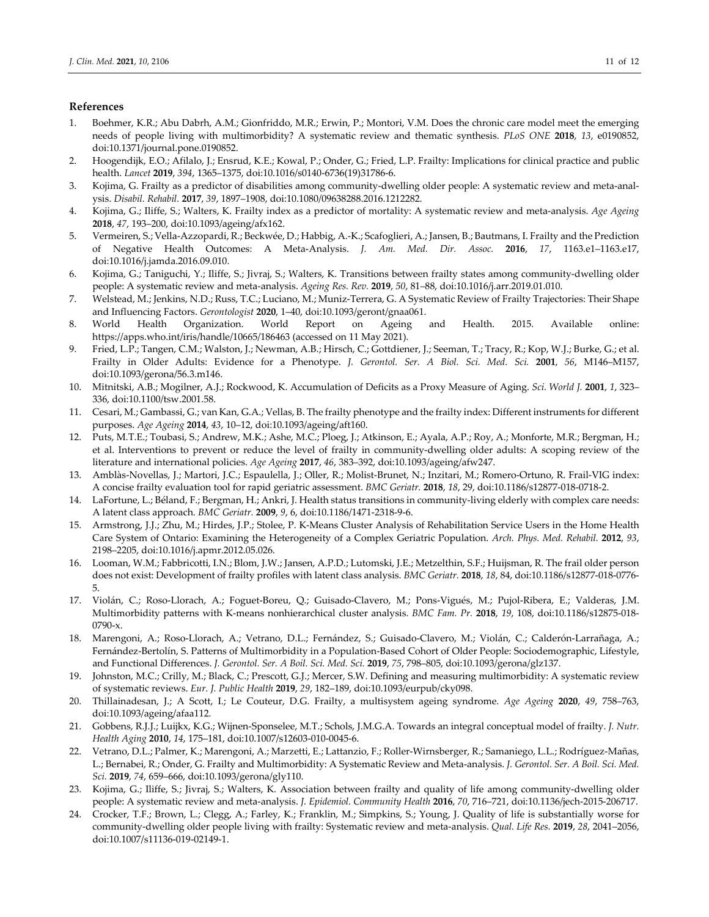# **References**

- 1. Boehmer, K.R.; Abu Dabrh, A.M.; Gionfriddo, M.R.; Erwin, P.; Montori, V.M. Does the chronic care model meet the emerging needs of people living with multimorbidity? A systematic review and thematic synthesis. *PLoS ONE* **2018**, *13*, e0190852, doi:10.1371/journal.pone.0190852.
- 2. Hoogendijk, E.O.; Afilalo, J.; Ensrud, K.E.; Kowal, P.; Onder, G.; Fried, L.P. Frailty: Implications for clinical practice and public health. *Lancet* **2019**, *394*, 1365–1375, doi:10.1016/s0140‐6736(19)31786‐6.
- 3. Kojima, G. Frailty as a predictor of disabilities among community-dwelling older people: A systematic review and meta-analysis. *Disabil. Rehabil.* **2017**, *39*, 1897–1908, doi:10.1080/09638288.2016.1212282.
- 4. Kojima, G.; Iliffe, S.; Walters, K. Frailty index as a predictor of mortality: A systematic review and meta‐analysis. *Age Ageing* **2018**, *47*, 193–200, doi:10.1093/ageing/afx162.
- 5. Vermeiren, S.; Vella‐Azzopardi, R.; Beckwée, D.; Habbig, A.‐K.; Scafoglieri, A.; Jansen, B.; Bautmans, I. Frailty and the Prediction of Negative Health Outcomes: A Meta‐Analysis. *J. Am. Med. Dir. Assoc.* **2016**, *17*, 1163.e1–1163.e17, doi:10.1016/j.jamda.2016.09.010.
- 6. Kojima, G.; Taniguchi, Y.; Iliffe, S.; Jivraj, S.; Walters, K. Transitions between frailty states among community‐dwelling older people: A systematic review and meta‐analysis. *Ageing Res. Rev.* **2019**, *50*, 81–88, doi:10.1016/j.arr.2019.01.010.
- 7. Welstead, M.; Jenkins, N.D.; Russ, T.C.; Luciano, M.; Muniz‐Terrera, G. A Systematic Review of Frailty Trajectories: Their Shape and Influencing Factors. *Gerontologist* **2020**, 1–40, doi:10.1093/geront/gnaa061.
- 8. World Health Organization. World Report on Ageing and Health. 2015. Available online: https://apps.who.int/iris/handle/10665/186463 (accessed on 11 May 2021).
- 9. Fried, L.P.; Tangen, C.M.; Walston, J.; Newman, A.B.; Hirsch, C.; Gottdiener, J.; Seeman, T.; Tracy, R.; Kop, W.J.; Burke, G.; et al. Frailty in Older Adults: Evidence for a Phenotype. *J. Gerontol. Ser. A Biol. Sci. Med. Sci.* **2001**, *56*, M146–M157, doi:10.1093/gerona/56.3.m146.
- 10. Mitnitski, A.B.; Mogilner, A.J.; Rockwood, K. Accumulation of Deficits as a Proxy Measure of Aging. *Sci. World J.* **2001**, *1*, 323– 336, doi:10.1100/tsw.2001.58.
- 11. Cesari, M.; Gambassi, G.; van Kan, G.A.; Vellas, B. The frailty phenotype and the frailty index: Different instruments for different purposes. *Age Ageing* **2014**, *43*, 10–12, doi:10.1093/ageing/aft160.
- 12. Puts, M.T.E.; Toubasi, S.; Andrew, M.K.; Ashe, M.C.; Ploeg, J.; Atkinson, E.; Ayala, A.P.; Roy, A.; Monforte, M.R.; Bergman, H.; et al. Interventions to prevent or reduce the level of frailty in community-dwelling older adults: A scoping review of the literature and international policies. *Age Ageing* **2017**, *46*, 383–392, doi:10.1093/ageing/afw247.
- 13. Amblàs‐Novellas, J.; Martori, J.C.; Espaulella, J.; Oller, R.; Molist‐Brunet, N.; Inzitari, M.; Romero‐Ortuno, R. Frail‐VIG index: A concise frailty evaluation tool for rapid geriatric assessment. *BMC Geriatr.* **2018**, *18*, 29, doi:10.1186/s12877‐018‐0718‐2.
- 14. LaFortune, L.; Béland, F.; Bergman, H.; Ankri, J. Health status transitions in community‐living elderly with complex care needs: A latent class approach. *BMC Geriatr.* **2009**, *9*, 6, doi:10.1186/1471‐2318‐9‐6.
- 15. Armstrong, J.J.; Zhu, M.; Hirdes, J.P.; Stolee, P. K‐Means Cluster Analysis of Rehabilitation Service Users in the Home Health Care System of Ontario: Examining the Heterogeneity of a Complex Geriatric Population. *Arch. Phys. Med. Rehabil.* **2012**, *93*, 2198–2205, doi:10.1016/j.apmr.2012.05.026.
- 16. Looman, W.M.; Fabbricotti, I.N.; Blom, J.W.; Jansen, A.P.D.; Lutomski, J.E.; Metzelthin, S.F.; Huijsman, R. The frail older person does not exist: Development of frailty profiles with latent class analysis. *BMC Geriatr.* **2018**, *18*, 84, doi:10.1186/s12877‐018‐0776‐ 5.
- 17. Violán, C.; Roso‐Llorach, A.; Foguet‐Boreu, Q.; Guisado‐Clavero, M.; Pons‐Vigués, M.; Pujol‐Ribera, E.; Valderas, J.M. Multimorbidity patterns with K‐means nonhierarchical cluster analysis. *BMC Fam. Pr.* **2018**, *19*, 108, doi:10.1186/s12875‐018‐ 0790-x.
- 18. Marengoni, A.; Roso‐Llorach, A.; Vetrano, D.L.; Fernández, S.; Guisado‐Clavero, M.; Violán, C.; Calderón‐Larrañaga, A.; Fernández‐Bertolín, S. Patterns of Multimorbidity in a Population‐Based Cohort of Older People: Sociodemographic, Lifestyle, and Functional Differences. *J. Gerontol. Ser. A Boil. Sci. Med. Sci.* **2019**, *75*, 798–805, doi:10.1093/gerona/glz137.
- 19. Johnston, M.C.; Crilly, M.; Black, C.; Prescott, G.J.; Mercer, S.W. Defining and measuring multimorbidity: A systematic review of systematic reviews. *Eur. J. Public Health* **2019**, *29*, 182–189, doi:10.1093/eurpub/cky098.
- 20. Thillainadesan, J.; A Scott, I.; Le Couteur, D.G. Frailty, a multisystem ageing syndrome. *Age Ageing* **2020**, *49*, 758–763, doi:10.1093/ageing/afaa112.
- 21. Gobbens, R.J.J.; Luijkx, K.G.; Wijnen‐Sponselee, M.T.; Schols, J.M.G.A. Towards an integral conceptual model of frailty. *J. Nutr. Health Aging* **2010**, *14*, 175–181, doi:10.1007/s12603‐010‐0045‐6.
- 22. Vetrano, D.L.; Palmer, K.; Marengoni, A.; Marzetti, E.; Lattanzio, F.; Roller‐Wirnsberger, R.; Samaniego, L.L.; Rodríguez‐Mañas, L.; Bernabei, R.; Onder, G. Frailty and Multimorbidity: A Systematic Review and Meta‐analysis. *J. Gerontol. Ser. A Boil. Sci. Med. Sci.* **2019**, *74*, 659–666, doi:10.1093/gerona/gly110.
- 23. Kojima, G.; Iliffe, S.; Jivraj, S.; Walters, K. Association between frailty and quality of life among community-dwelling older people: A systematic review and meta‐analysis. *J. Epidemiol. Community Health* **2016**, *70*, 716–721, doi:10.1136/jech‐2015‐206717.
- 24. Crocker, T.F.; Brown, L.; Clegg, A.; Farley, K.; Franklin, M.; Simpkins, S.; Young, J. Quality of life is substantially worse for community‐dwelling older people living with frailty: Systematic review and meta‐analysis. *Qual. Life Res.* **2019**, *28*, 2041–2056, doi:10.1007/s11136‐019‐02149‐1.